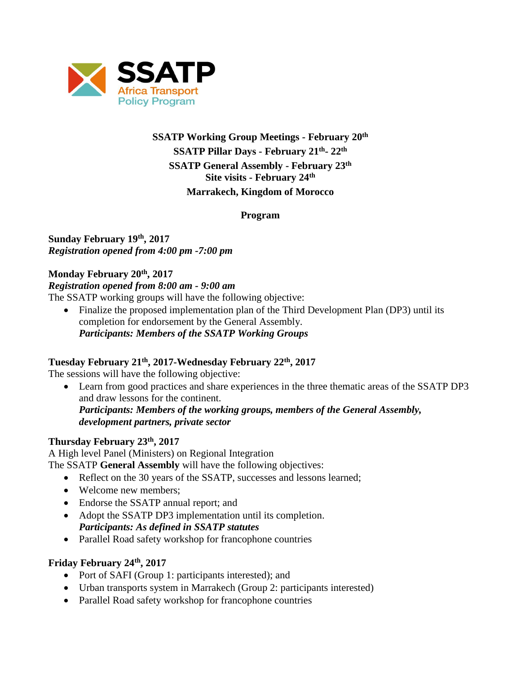

# **SSATP Working Group Meetings - February 20th SSATP Pillar Days - February 21th - 22th SSATP General Assembly - February 23th Site visits - February 24th Marrakech, Kingdom of Morocco**

**Program**

## **Sunday February 19th, 2017** *Registration opened from 4:00 pm -7:00 pm*

## **Monday February 20th, 2017**

#### *Registration opened from 8:00 am - 9:00 am*

The SSATP working groups will have the following objective:

• Finalize the proposed implementation plan of the Third Development Plan (DP3) until its completion for endorsement by the General Assembly. *Participants: Members of the SSATP Working Groups*

# **Tuesday February 21th, 2017-Wednesday February 22th, 2017**

The sessions will have the following objective:

 Learn from good practices and share experiences in the three thematic areas of the SSATP DP3 and draw lessons for the continent. *Participants: Members of the working groups, members of the General Assembly, development partners, private sector*

# **Thursday February 23th, 2017**

A High level Panel (Ministers) on Regional Integration The SSATP **General Assembly** will have the following objectives:

- Reflect on the 30 years of the SSATP, successes and lessons learned;
- Welcome new members:
- Endorse the SSATP annual report; and
- Adopt the SSATP DP3 implementation until its completion. *Participants: As defined in SSATP statutes*
- Parallel Road safety workshop for francophone countries

#### **Friday February 24th, 2017**

- Port of SAFI (Group 1: participants interested); and
- Urban transports system in Marrakech (Group 2: participants interested)
- Parallel Road safety workshop for francophone countries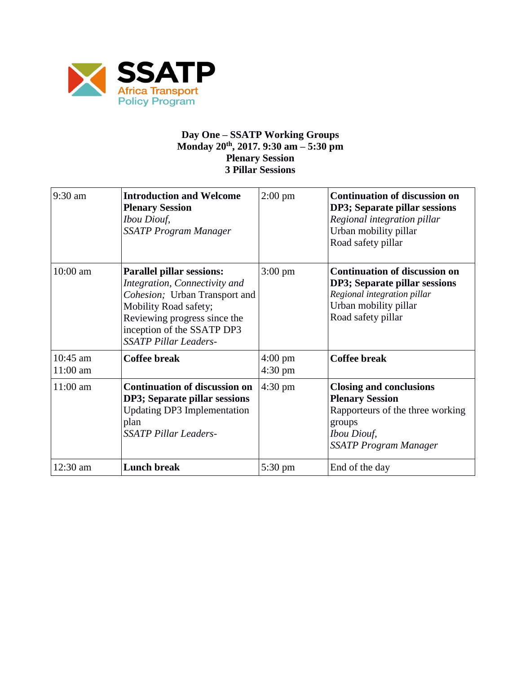

#### **Day One – SSATP Working Groups Monday 20th, 2017. 9:30 am – 5:30 pm Plenary Session 3 Pillar Sessions**

| 9:30 am                | <b>Introduction and Welcome</b><br><b>Plenary Session</b><br><b>Ibou Diouf,</b><br><b>SSATP Program Manager</b>                                                                                                           | $2:00 \text{ pm}$                      | <b>Continuation of discussion on</b><br>DP3; Separate pillar sessions<br>Regional integration pillar<br>Urban mobility pillar<br>Road safety pillar          |
|------------------------|---------------------------------------------------------------------------------------------------------------------------------------------------------------------------------------------------------------------------|----------------------------------------|--------------------------------------------------------------------------------------------------------------------------------------------------------------|
| 10:00 am               | <b>Parallel pillar sessions:</b><br>Integration, Connectivity and<br>Cohesion; Urban Transport and<br>Mobility Road safety;<br>Reviewing progress since the<br>inception of the SSATP DP3<br><b>SSATP Pillar Leaders-</b> | $3:00 \text{ pm}$                      | <b>Continuation of discussion on</b><br>DP3; Separate pillar sessions<br>Regional integration pillar<br>Urban mobility pillar<br>Road safety pillar          |
| $10:45$ am<br>11:00 am | <b>Coffee break</b>                                                                                                                                                                                                       | $4:00 \text{ pm}$<br>$4:30 \text{ pm}$ | <b>Coffee break</b>                                                                                                                                          |
| $11:00$ am             | <b>Continuation of discussion on</b><br>DP3; Separate pillar sessions<br><b>Updating DP3 Implementation</b><br>plan<br><b>SSATP Pillar Leaders-</b>                                                                       | $4:30 \text{ pm}$                      | <b>Closing and conclusions</b><br><b>Plenary Session</b><br>Rapporteurs of the three working<br>groups<br><i>Ibou Diouf,</i><br><b>SSATP Program Manager</b> |
| 12:30 am               | <b>Lunch break</b>                                                                                                                                                                                                        | 5:30 pm                                | End of the day                                                                                                                                               |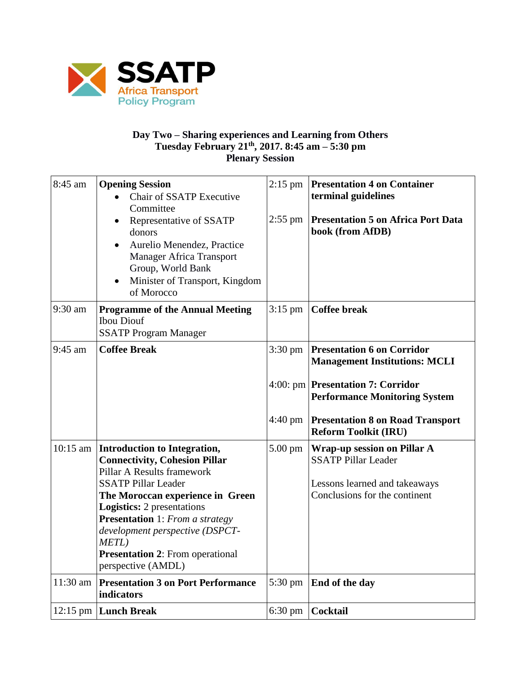

## **Day Two – Sharing experiences and Learning from Others Tuesday February 21th, 2017. 8:45 am – 5:30 pm Plenary Session**

| 8:45 am  | <b>Opening Session</b><br><b>Chair of SSATP Executive</b><br>Committee<br>Representative of SSATP<br>donors<br>Aurelio Menendez, Practice<br><b>Manager Africa Transport</b><br>Group, World Bank<br>Minister of Transport, Kingdom<br>of Morocco                                                                                                                           | $2:15$ pm<br>$2:55$ pm       | <b>Presentation 4 on Container</b><br>terminal guidelines<br><b>Presentation 5 on Africa Port Data</b><br>book (from AfDB)                                                                                                              |
|----------|-----------------------------------------------------------------------------------------------------------------------------------------------------------------------------------------------------------------------------------------------------------------------------------------------------------------------------------------------------------------------------|------------------------------|-----------------------------------------------------------------------------------------------------------------------------------------------------------------------------------------------------------------------------------------|
| 9:30 am  | <b>Programme of the Annual Meeting</b><br><b>Ibou Diouf</b><br><b>SSATP Program Manager</b>                                                                                                                                                                                                                                                                                 | $3:15$ pm                    | <b>Coffee break</b>                                                                                                                                                                                                                     |
| 9:45 am  | <b>Coffee Break</b>                                                                                                                                                                                                                                                                                                                                                         | $3:30 \text{ pm}$<br>4:40 pm | <b>Presentation 6 on Corridor</b><br><b>Management Institutions: MCLI</b><br>4:00: pm <b>Presentation 7: Corridor</b><br><b>Performance Monitoring System</b><br><b>Presentation 8 on Road Transport</b><br><b>Reform Toolkit (IRU)</b> |
|          | 10:15 am   Introduction to Integration,<br><b>Connectivity, Cohesion Pillar</b><br>Pillar A Results framework<br><b>SSATP Pillar Leader</b><br>The Moroccan experience in Green<br><b>Logistics:</b> 2 presentations<br><b>Presentation</b> 1: From a strategy<br>development perspective (DSPCT-<br>METL)<br><b>Presentation 2: From operational</b><br>perspective (AMDL) | $5.00 \text{ pm}$            | <b>Wrap-up session on Pillar A</b><br><b>SSATP Pillar Leader</b><br>Lessons learned and takeaways<br>Conclusions for the continent                                                                                                      |
| 11:30 am | <b>Presentation 3 on Port Performance</b><br>indicators                                                                                                                                                                                                                                                                                                                     | 5:30 pm                      | End of the day                                                                                                                                                                                                                          |
|          | $12:15$ pm Lunch Break                                                                                                                                                                                                                                                                                                                                                      | $6:30 \text{ pm}$            | Cocktail                                                                                                                                                                                                                                |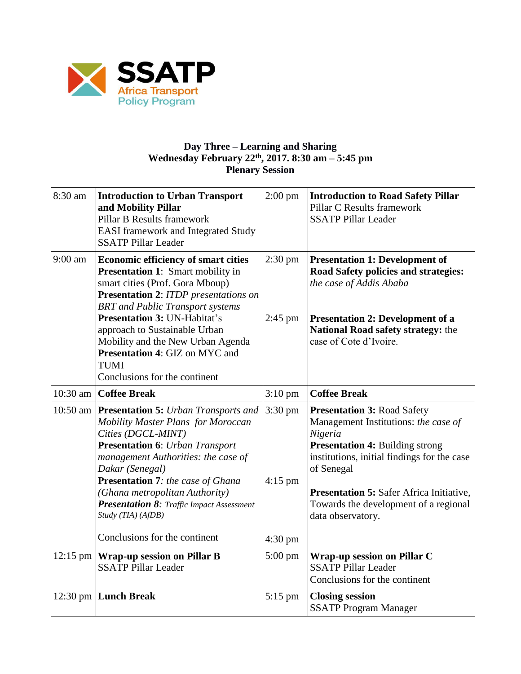

#### **Day Three – Learning and Sharing Wednesday February 22th, 2017. 8:30 am – 5:45 pm Plenary Session**

| 8:30 am            | <b>Introduction to Urban Transport</b><br>and Mobility Pillar<br><b>Pillar B Results framework</b><br><b>EASI</b> framework and Integrated Study<br><b>SSATP Pillar Leader</b>                                                                                                                                                                                                                                             | $2:00$ pm                      | <b>Introduction to Road Safety Pillar</b><br>Pillar C Results framework<br><b>SSATP Pillar Leader</b>                                                                                                                                                                                                         |
|--------------------|----------------------------------------------------------------------------------------------------------------------------------------------------------------------------------------------------------------------------------------------------------------------------------------------------------------------------------------------------------------------------------------------------------------------------|--------------------------------|---------------------------------------------------------------------------------------------------------------------------------------------------------------------------------------------------------------------------------------------------------------------------------------------------------------|
| $9:00$ am          | <b>Economic efficiency of smart cities</b><br><b>Presentation 1:</b> Smart mobility in<br>smart cities (Prof. Gora Mboup)<br><b>Presentation 2: ITDP</b> presentations on<br><b>BRT</b> and Public Transport systems<br><b>Presentation 3: UN-Habitat's</b><br>approach to Sustainable Urban<br>Mobility and the New Urban Agenda<br><b>Presentation 4: GIZ on MYC and</b><br><b>TUMI</b><br>Conclusions for the continent | $2:30$ pm<br>$2:45$ pm         | <b>Presentation 1: Development of</b><br>Road Safety policies and strategies:<br>the case of Addis Ababa<br><b>Presentation 2: Development of a</b><br>National Road safety strategy: the<br>case of Cote d'Ivoire.                                                                                           |
| $10:30$ am         | <b>Coffee Break</b>                                                                                                                                                                                                                                                                                                                                                                                                        | $3:10$ pm                      | <b>Coffee Break</b>                                                                                                                                                                                                                                                                                           |
|                    | 10:50 am   Presentation 5: Urban Transports and<br>Mobility Master Plans for Moroccan<br>Cities (DGCL-MINT)<br><b>Presentation 6:</b> Urban Transport<br>management Authorities: the case of<br>Dakar (Senegal)<br>Presentation 7: the case of Ghana<br>(Ghana metropolitan Authority)<br>Presentation 8: Traffic Impact Assessment<br>Study (TIA) (AfDB)                                                                  | $3:30 \text{ pm}$<br>$4:15$ pm | <b>Presentation 3: Road Safety</b><br>Management Institutions: the case of<br>Nigeria<br><b>Presentation 4: Building strong</b><br>institutions, initial findings for the case<br>of Senegal<br><b>Presentation 5:</b> Safer Africa Initiative,<br>Towards the development of a regional<br>data observatory. |
|                    | Conclusions for the continent                                                                                                                                                                                                                                                                                                                                                                                              | $4:30$ pm                      |                                                                                                                                                                                                                                                                                                               |
| $12:15 \text{ pm}$ | <b>Wrap-up session on Pillar B</b><br><b>SSATP Pillar Leader</b>                                                                                                                                                                                                                                                                                                                                                           | $5:00 \text{ pm}$              | Wrap-up session on Pillar C<br><b>SSATP Pillar Leader</b><br>Conclusions for the continent                                                                                                                                                                                                                    |
|                    | 12:30 pm Lunch Break                                                                                                                                                                                                                                                                                                                                                                                                       | $5:15$ pm                      | <b>Closing session</b><br><b>SSATP Program Manager</b>                                                                                                                                                                                                                                                        |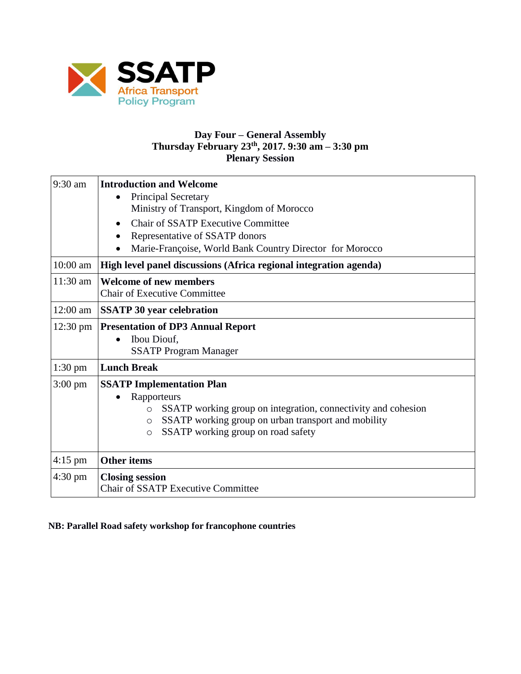

## **Day Four – General Assembly Thursday February 23th, 2017. 9:30 am – 3:30 pm Plenary Session**

| $9:30$ am          | <b>Introduction and Welcome</b>                                          |  |  |
|--------------------|--------------------------------------------------------------------------|--|--|
|                    | <b>Principal Secretary</b>                                               |  |  |
|                    | Ministry of Transport, Kingdom of Morocco                                |  |  |
|                    | <b>Chair of SSATP Executive Committee</b>                                |  |  |
|                    | Representative of SSATP donors                                           |  |  |
|                    | Marie-Françoise, World Bank Country Director for Morocco                 |  |  |
| $10:00$ am         | High level panel discussions (Africa regional integration agenda)        |  |  |
| 11:30 am           | <b>Welcome of new members</b>                                            |  |  |
|                    | <b>Chair of Executive Committee</b>                                      |  |  |
| 12:00 am           | <b>SSATP 30 year celebration</b>                                         |  |  |
| $12:30 \text{ pm}$ | <b>Presentation of DP3 Annual Report</b>                                 |  |  |
|                    | Ibou Diouf,                                                              |  |  |
|                    | <b>SSATP Program Manager</b>                                             |  |  |
| $1:30$ pm          | <b>Lunch Break</b>                                                       |  |  |
| $3:00 \text{ pm}$  | <b>SSATP Implementation Plan</b>                                         |  |  |
|                    | Rapporteurs                                                              |  |  |
|                    | SSATP working group on integration, connectivity and cohesion<br>$\circ$ |  |  |
|                    | SSATP working group on urban transport and mobility<br>$\circ$           |  |  |
|                    | SSATP working group on road safety<br>$\circ$                            |  |  |
|                    |                                                                          |  |  |
| $4:15$ pm          | <b>Other items</b>                                                       |  |  |
| $4:30 \text{ pm}$  | <b>Closing session</b>                                                   |  |  |
|                    | <b>Chair of SSATP Executive Committee</b>                                |  |  |

**NB: Parallel Road safety workshop for francophone countries**